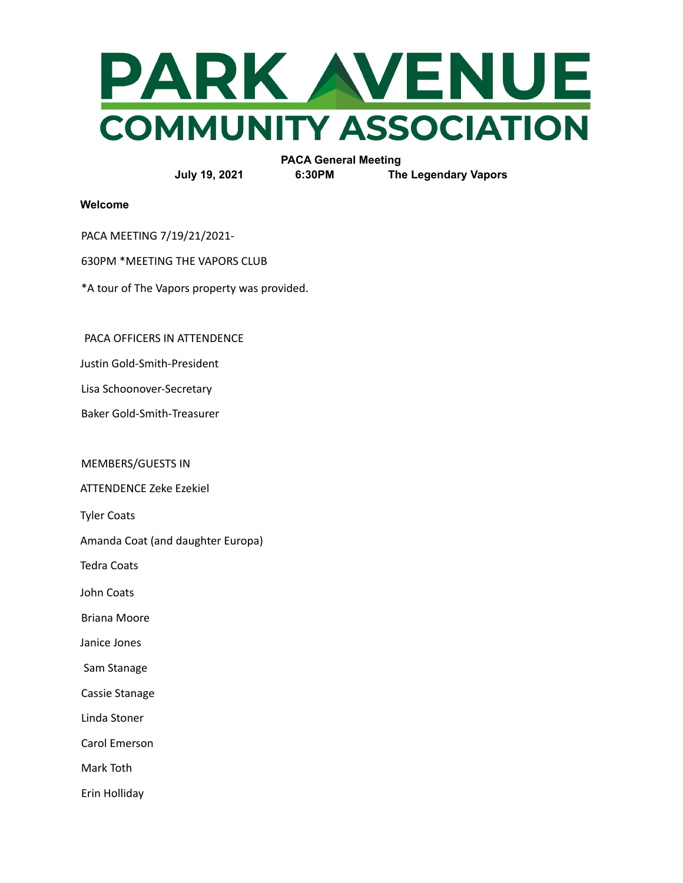

**PACA General Meeting**

**July 19, 2021 6:30PM The Legendary Vapors**

**Welcome**

PACA MEETING 7/19/21/2021-

630PM \*MEETING THE VAPORS CLUB

\*A tour of The Vapors property was provided.

PACA OFFICERS IN ATTENDENCE

Justin Gold-Smith-President

Lisa Schoonover-Secretary

Baker Gold-Smith-Treasurer

MEMBERS/GUESTS IN

ATTENDENCE Zeke Ezekiel

Tyler Coats

Amanda Coat (and daughter Europa)

Tedra Coats

John Coats

Briana Moore

Janice Jones

Sam Stanage

Cassie Stanage

Linda Stoner

Carol Emerson

Mark Toth

Erin Holliday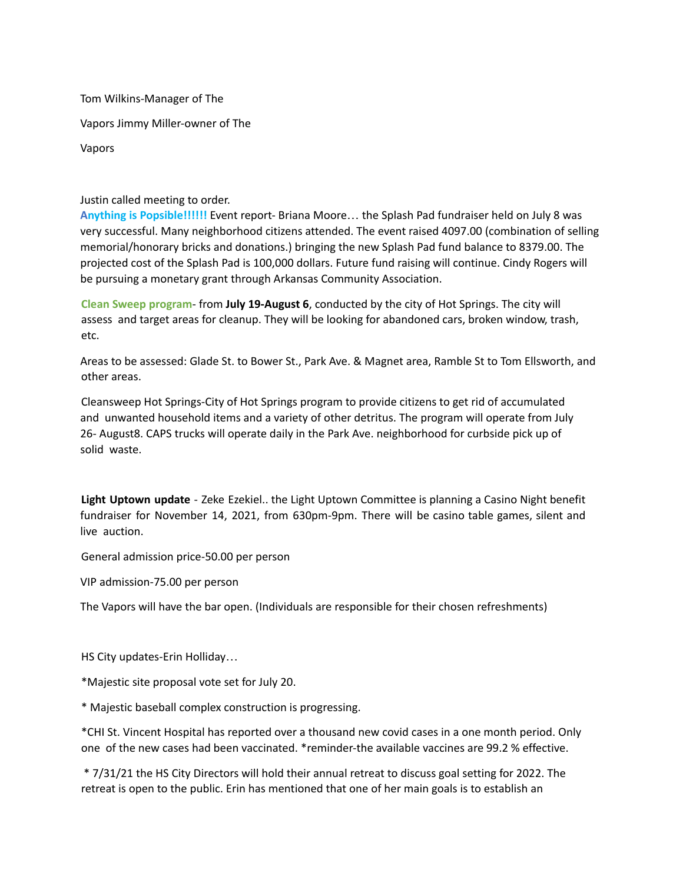Tom Wilkins-Manager of The

Vapors Jimmy Miller-owner of The

Vapors

## Justin called meeting to order.

**Anything is Popsible!!!!!!** Event report- Briana Moore… the Splash Pad fundraiser held on July 8 was very successful. Many neighborhood citizens attended. The event raised 4097.00 (combination of selling memorial/honorary bricks and donations.) bringing the new Splash Pad fund balance to 8379.00. The projected cost of the Splash Pad is 100,000 dollars. Future fund raising will continue. Cindy Rogers will be pursuing a monetary grant through Arkansas Community Association.

**Clean Sweep program**- from **July 19-August 6**, conducted by the city of Hot Springs. The city will assess and target areas for cleanup. They will be looking for abandoned cars, broken window, trash, etc.

Areas to be assessed: Glade St. to Bower St., Park Ave. & Magnet area, Ramble St to Tom Ellsworth, and other areas.

Cleansweep Hot Springs-City of Hot Springs program to provide citizens to get rid of accumulated and unwanted household items and a variety of other detritus. The program will operate from July 26- August8. CAPS trucks will operate daily in the Park Ave. neighborhood for curbside pick up of solid waste.

**Light Uptown update** - Zeke Ezekiel.. the Light Uptown Committee is planning a Casino Night benefit fundraiser for November 14, 2021, from 630pm-9pm. There will be casino table games, silent and live auction.

General admission price-50.00 per person

VIP admission-75.00 per person

The Vapors will have the bar open. (Individuals are responsible for their chosen refreshments)

HS City updates-Erin Holliday…

\*Majestic site proposal vote set for July 20.

\* Majestic baseball complex construction is progressing.

\*CHI St. Vincent Hospital has reported over a thousand new covid cases in a one month period. Only one of the new cases had been vaccinated. \*reminder-the available vaccines are 99.2 % effective.

\* 7/31/21 the HS City Directors will hold their annual retreat to discuss goal setting for 2022. The retreat is open to the public. Erin has mentioned that one of her main goals is to establish an